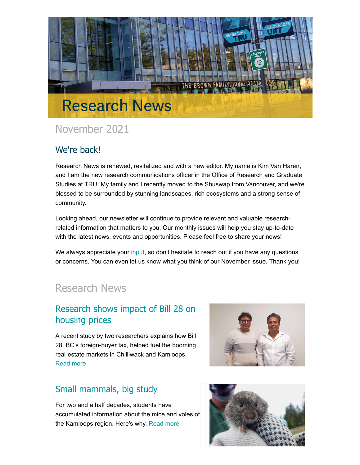

## November 2021

## We're back!

Research News is renewed, revitalized and with a new editor. My name is Kim Van Haren, and I am the new research communications officer in the Office of Research and Graduate Studies at TRU. My family and I recently moved to the Shuswap from Vancouver, and we're blessed to be surrounded by stunning landscapes, rich ecosystems and a strong sense of community.

Looking ahead, our newsletter will continue to provide relevant and valuable researchrelated information that matters to you. Our monthly issues will help you stay up-to-date with the latest news, events and opportunities. Please feel free to share your news!

We always appreciate your [input,](mailto:research@tru.ca) so don't hesitate to reach out if you have any questions or concerns. You can even let us know what you think of our November issue. Thank you!

## Research News

#### [Research shows impact of Bill 28 on](http://inside.tru.ca/2021/11/12/research-shows-impact-of-bill-28-on-housing-prices/) housing prices

A recent study by two researchers explains how Bill 28, BC's foreign-buyer tax, helped fuel the booming real-estate markets in Chilliwack and Kamloops. [Read more](http://inside.tru.ca/2021/11/12/research-shows-impact-of-bill-28-on-housing-prices/)



## [Small mammals, big study](http://inside.tru.ca/2021/10/29/small-mammals-big-study/)

For two and a half decades, students have accumulated information about the mice and voles of the Kamloops region. Here's why. [Read more](http://inside.tru.ca/2021/10/29/small-mammals-big-study/)

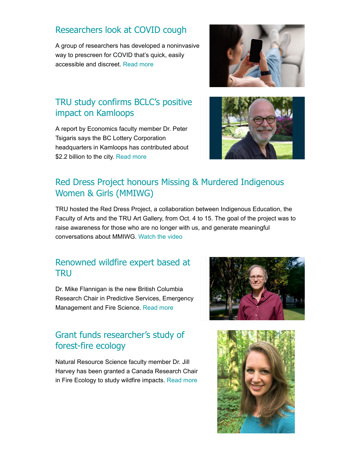#### [Researchers look at COVID cough](http://inside.tru.ca/2021/10/25/researchers-look-at-covid-cough/)

A group of researchers has developed a noninvasive way to prescreen for COVID that's quick, easily accessible and discreet. [Read more](http://inside.tru.ca/2021/10/25/researchers-look-at-covid-cough/)



#### [TRU study confirms BCLC's positive](http://inside.tru.ca/2021/10/26/tru-study-confirms-bclcs-positive-impact-on-kamloops/) impact on Kamloops

A report by Economics faculty member Dr. Peter Tsigaris says the BC Lottery Corporation headquarters in Kamloops has contributed about \$2.2 billion to the city. [Read more](http://inside.tru.ca/2021/10/26/tru-study-confirms-bclcs-positive-impact-on-kamloops/)



## [Red Dress Project honours Missing & Murdered Indigenous](https://www.youtube.com/watch?v=Krn49C8OkvM) Women & Girls (MMIWG)

TRU hosted the Red Dress Project, a collaboration between Indigenous Education, the Faculty of Arts and the TRU Art Gallery, from Oct. 4 to 15. The goal of the project was to raise awareness for those who are no longer with us, and generate meaningful conversations about MMIWG. [Watch the video](https://www.youtube.com/watch?v=Krn49C8OkvM)

#### [Renowned wildfire expert based at](http://inside.tru.ca/2021/06/24/renowned-wildfire-expert-based-at-tru/) **TRU**

Dr. Mike Flannigan is the new British Columbia Research Chair in Predictive Services, Emergency Management and Fire Science. [Read more](http://inside.tru.ca/2021/06/24/renowned-wildfire-expert-based-at-tru/)

## [Grant funds researcher's study of](http://inside.tru.ca/releases/grant-funds-researchers-study-of-forest-fire-ecology/) forest-fire ecology

Natural Resource Science faculty member Dr. Jill Harvey has been granted a Canada Research Chair in Fire Ecology to study wildfire impacts. [Read more](http://inside.tru.ca/releases/grant-funds-researchers-study-of-forest-fire-ecology/)



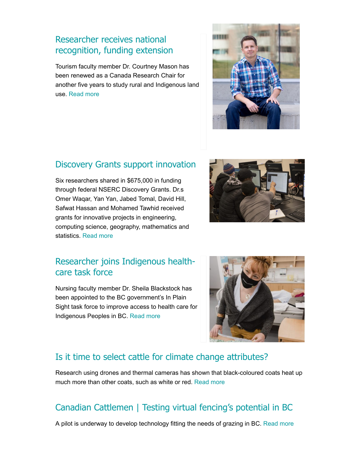#### Researcher receives national [recognition, funding extension](http://inside.tru.ca/releases/tru-researcher-receives-national-recognition-funding-extension/)

Tourism faculty member Dr. Courtney Mason has been renewed as a Canada Research Chair for another five years to study rural and Indigenous land use. [Read more](http://inside.tru.ca/releases/tru-researcher-receives-national-recognition-funding-extension/)



#### [Discovery Grants support innovation](http://inside.tru.ca/2021/06/15/discovery-grants-support-innovative-tru-researchers/)

Six researchers shared in \$675,000 in funding through federal NSERC Discovery Grants. Dr.s Omer Waqar, Yan Yan, Jabed Tomal, David Hill, Safwat Hassan and Mohamed Tawhid received grants for innovative projects in engineering, computing science, geography, mathematics and statistics. [Read more](http://inside.tru.ca/2021/06/15/discovery-grants-support-innovative-tru-researchers/)



## [Researcher joins Indigenous health](http://inside.tru.ca/2021/06/04/tru-researcher-joins-indigenous-health-care-task-force/)care task force

Nursing faculty member Dr. Sheila Blackstock has been appointed to the BC government's In Plain Sight task force to improve access to health care for Indigenous Peoples in BC. [Read more](http://inside.tru.ca/2021/06/04/tru-researcher-joins-indigenous-health-care-task-force/)



## [Is it time to select cattle for climate change attributes?](https://www.producer.com/livestock/is-it-time-to-select-cattle-for-climate-change-attributes/)

Research using drones and thermal cameras has shown that black-coloured coats heat up much more than other coats, such as white or red. [Read more](https://www.producer.com/livestock/is-it-time-to-select-cattle-for-climate-change-attributes/)

## [Canadian Cattlemen | Testing virtual fencing's potential in BC](http://inside.tru.ca/inthemedia/canadian-cattlemen-testing-virtual-fencings-potential-in-bc/)

A pilot is underway to develop technology fitting the needs of grazing in BC. [Read more](http://inside.tru.ca/inthemedia/canadian-cattlemen-testing-virtual-fencings-potential-in-bc/)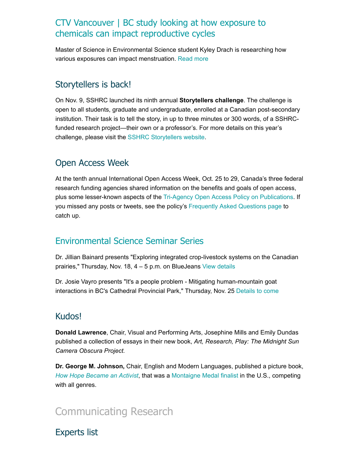#### [CTV Vancouver | BC study looking at how exposure to](http://inside.tru.ca/inthemedia/ctv-vancouver-bc-study-looking-at-how-exposure-to-chemicals-can-impact-reproductive-cycles/) chemicals can impact reproductive cycles

Master of Science in Environmental Science student Kyley Drach is researching how various exposures can impact menstruation. [Read more](http://inside.tru.ca/inthemedia/ctv-vancouver-bc-study-looking-at-how-exposure-to-chemicals-can-impact-reproductive-cycles/)

#### Storytellers is back!

On Nov. 9, SSHRC launched its ninth annual **Storytellers challenge**. The challenge is open to all students, graduate and undergraduate, enrolled at a Canadian post-secondary institution. Their task is to tell the story, in up to three minutes or 300 words, of a SSHRCfunded research project—their own or a professor's. For more details on this year's challenge, please visit the [SSHRC Storytellers website](https://www.sshrc-crsh.gc.ca/society-societe/storytellers-jai_une_histoire_a_raconter/index-eng.aspx).

#### Open Access Week

At the tenth annual International Open Access Week, Oct. 25 to 29, Canada's three federal research funding agencies shared information on the benefits and goals of open access, plus some lesser-known aspects of the [Tri-Agency Open Access Policy on Publications.](https://science.gc.ca/eic/site/063.nsf/eng/h_F6765465.html) If you missed any posts or tweets, see the policy's [Frequently Asked Questions page](https://science.gc.ca/eic/site/063.nsf/eng/h_42701EA6.html) to catch up.

#### [Environmental Science Seminar Series](https://www.tru.ca/science/news/mscseminar.html)

Dr. Jillian Bainard presents "Exploring integrated crop-livestock systems on the Canadian prairies," Thursday, Nov. 18, 4 – 5 p.m. on BlueJeans [View details](https://inside.tru.ca/events/event/environmental-science-seminar-series-16/)

Dr. Josie Vayro presents "It's a people problem - Mitigating human-mountain goat interactions in BC's Cathedral Provincial Park," Thursday, Nov. 25 [Details to come](https://www.tru.ca/science/news/mscseminar.html)

## Kudos!

**Donald Lawrence**, Chair, Visual and Performing Arts, Josephine Mills and Emily Dundas published a collection of essays in their new book, *Art, Research, Play: The Midnight Sun Camera Obscura Project.*

**Dr. George M. Johnson,** Chair, English and Modern Languages, published a picture book, *[How Hope Became an Activist](https://dixibooks.com/product/how-hope-became-an-activist/)*, that was a [Montaigne Medal finalist](http://www.hofferaward.com/Montaigne-Medal-finalists.html#.YKVFO7KSmUl) in the U.S., competing with all genres.

## [Communicating Research](https://inside.tru.ca/tru.ca/experts)

Experts list